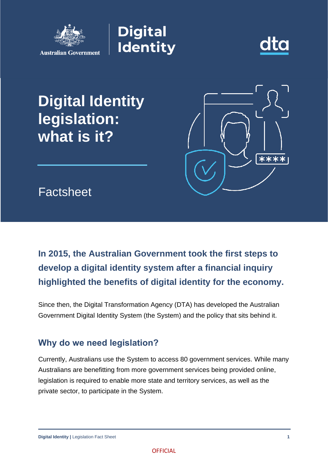

**Digital Identity** 



# **Digital Identity legislation: what is it?**



Factsheet

## **In 2015, the Australian Government took the first steps to develop a digital identity system after a financial inquiry highlighted the benefits of digital identity for the economy.**

Since then, the Digital Transformation Agency (DTA) has developed the Australian Government Digital Identity System (the System) and the policy that sits behind it.

### **Why do we need legislation?**

Currently, Australians use the System to access 80 government services. While many Australians are benefitting from more government services being provided online, legislation is required to enable more state and territory services, as well as the private sector, to participate in the System.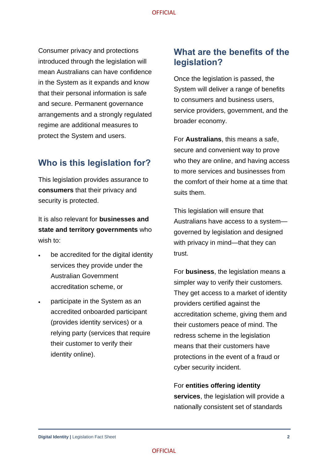Consumer privacy and protections introduced through the legislation will mean Australians can have confidence in the System as it expands and know that their personal information is safe and secure. Permanent governance arrangements and a strongly regulated regime are additional measures to protect the System and users.

#### **Who is this legislation for?**

This legislation provides assurance to **consumers** that their privacy and security is protected.

It is also relevant for **businesses and state and territory governments** who wish to:

- be accredited for the digital identity services they provide under the Australian Government accreditation scheme, or
- participate in the System as an accredited onboarded participant (provides identity services) or a relying party (services that require their customer to verify their identity online).

#### **What are the benefits of the legislation?**

Once the legislation is passed, the System will deliver a range of benefits to consumers and business users, service providers, government, and the broader economy.

For **Australians**, this means a safe, secure and convenient way to prove who they are online, and having access to more services and businesses from the comfort of their home at a time that suits them.

This legislation will ensure that Australians have access to a system governed by legislation and designed with privacy in mind—that they can trust.

For **business**, the legislation means a simpler way to verify their customers. They get access to a market of identity providers certified against the accreditation scheme, giving them and their customers peace of mind. The redress scheme in the legislation means that their customers have protections in the event of a fraud or cyber security incident.

For **entities offering identity services**, the legislation will provide a nationally consistent set of standards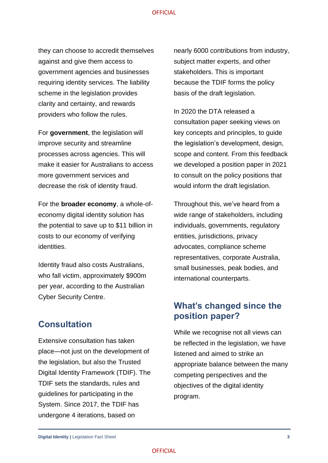#### **OFFICIAL**

they can choose to accredit themselves against and give them access to government agencies and businesses requiring identity services. The liability scheme in the legislation provides clarity and certainty, and rewards providers who follow the rules.

For **government**, the legislation will improve security and streamline processes across agencies. This will make it easier for Australians to access more government services and decrease the risk of identity fraud.

For the **broader economy**, a whole-ofeconomy digital identity solution has the potential to save up to \$11 billion in costs to our economy of verifying identities.

Identity fraud also costs Australians, who fall victim, approximately \$900m per year, according to the Australian Cyber Security Centre.

#### **Consultation**

Extensive consultation has taken place—not just on the development of the legislation, but also the Trusted Digital Identity Framework (TDIF). The TDIF sets the standards, rules and guidelines for participating in the System. Since 2017, the TDIF has undergone 4 iterations, based on

nearly 6000 contributions from industry, subject matter experts, and other stakeholders. This is important because the TDIF forms the policy basis of the draft legislation.

In 2020 the DTA released a consultation paper seeking views on key concepts and principles, to guide the legislation's development, design, scope and content. From this feedback we developed a position paper in 2021 to consult on the policy positions that would inform the draft legislation.

Throughout this, we've heard from a wide range of stakeholders, including individuals, governments, regulatory entities, jurisdictions, privacy advocates, compliance scheme representatives, corporate Australia, small businesses, peak bodies, and international counterparts.

### **What's changed since the position paper?**

While we recognise not all views can be reflected in the legislation, we have listened and aimed to strike an appropriate balance between the many competing perspectives and the objectives of the digital identity program.